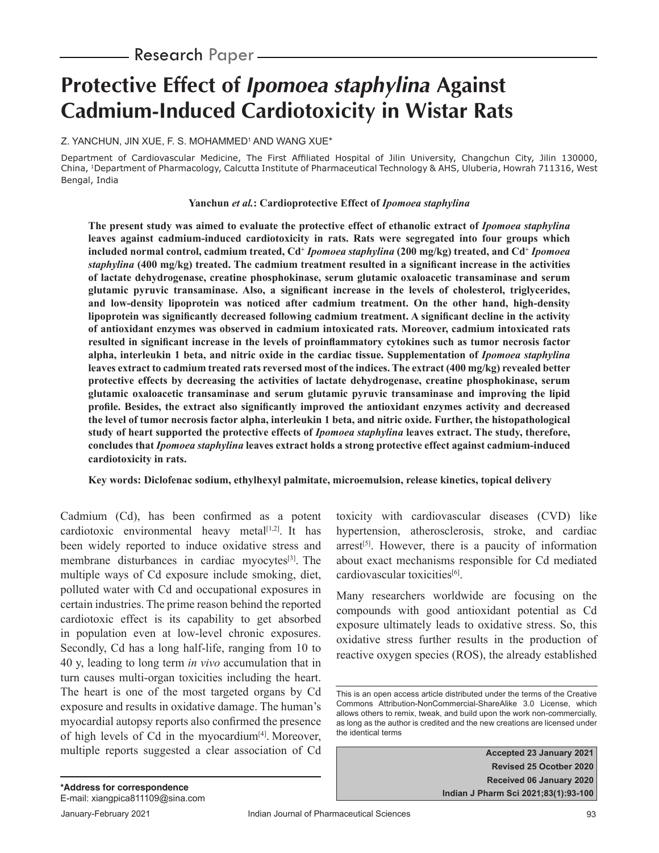# **Protective Effect of** *Ipomoea staphylina* **Against Cadmium-Induced Cardiotoxicity in Wistar Rats**

## Z. YANCHUN, JIN XUE, F. S. MOHAMMED<sup>1</sup> AND WANG XUE\*

Department of Cardiovascular Medicine, The First Affiliated Hospital of Jilin University, Changchun City, Jilin 130000, China, 1Department of Pharmacology, Calcutta Institute of Pharmaceutical Technology & AHS, Uluberia, Howrah 711316, West Bengal, India

#### **Yanchun** *et al.***: Cardioprotective Effect of** *Ipomoea staphylina*

**The present study was aimed to evaluate the protective effect of ethanolic extract of** *Ipomoea staphylina*  **leaves against cadmium-induced cardiotoxicity in rats. Rats were segregated into four groups which**  included normal control, cadmium treated, Cd<sup>+</sup> *Ipomoea staphylina* (200 mg/kg) treated, and Cd<sup>+</sup> *Ipomoea staphylina* (400 mg/kg) treated. The cadmium treatment resulted in a significant increase in the activities **of lactate dehydrogenase, creatine phosphokinase, serum glutamic oxaloacetic transaminase and serum**  glutamic pyruvic transaminase. Also, a significant increase in the levels of cholesterol, triglycerides, **and low-density lipoprotein was noticed after cadmium treatment. On the other hand, high-density**  lipoprotein was significantly decreased following cadmium treatment. A significant decline in the activity **of antioxidant enzymes was observed in cadmium intoxicated rats. Moreover, cadmium intoxicated rats**  resulted in significant increase in the levels of proinflammatory cytokines such as tumor necrosis factor **alpha, interleukin 1 beta, and nitric oxide in the cardiac tissue. Supplementation of** *Ipomoea staphylina* **leaves extract to cadmium treated rats reversed most of the indices. The extract (400 mg/kg) revealed better protective effects by decreasing the activities of lactate dehydrogenase, creatine phosphokinase, serum glutamic oxaloacetic transaminase and serum glutamic pyruvic transaminase and improving the lipid**  profile. Besides, the extract also significantly improved the antioxidant enzymes activity and decreased **the level of tumor necrosis factor alpha, interleukin 1 beta, and nitric oxide. Further, the histopathological study of heart supported the protective effects of** *Ipomoea staphylina* **leaves extract. The study, therefore, concludes that** *Ipomoea staphylina* **leaves extract holds a strong protective effect against cadmium-induced cardiotoxicity in rats.**

## **Key words: Diclofenac sodium, ethylhexyl palmitate, microemulsion, release kinetics, topical delivery**

Cadmium (Cd), has been confirmed as a potent cardiotoxic environmental heavy metal $[1,2]$ . It has been widely reported to induce oxidative stress and membrane disturbances in cardiac myocytes<sup>[3]</sup>. The multiple ways of Cd exposure include smoking, diet, polluted water with Cd and occupational exposures in certain industries. The prime reason behind the reported cardiotoxic effect is its capability to get absorbed in population even at low-level chronic exposures. Secondly, Cd has a long half-life, ranging from 10 to 40 y, leading to long term *in vivo* accumulation that in turn causes multi-organ toxicities including the heart. The heart is one of the most targeted organs by Cd exposure and results in oxidative damage. The human's myocardial autopsy reports also confirmed the presence of high levels of Cd in the myocardium $[4]$ . Moreover, multiple reports suggested a clear association of Cd toxicity with cardiovascular diseases (CVD) like hypertension, atherosclerosis, stroke, and cardiac  $arrest^{[5]}$ . However, there is a paucity of information about exact mechanisms responsible for Cd mediated cardiovascular toxicities<sup>[6]</sup>.

Many researchers worldwide are focusing on the compounds with good antioxidant potential as Cd exposure ultimately leads to oxidative stress. So, this oxidative stress further results in the production of reactive oxygen species (ROS), the already established

**Accepted 23 January 2021 Revised 25 Ocotber 2020 Received 06 January 2020 Indian J Pharm Sci 2021;83(1):93-100**

This is an open access article distributed under the terms of the Creative Commons Attribution-NonCommercial-ShareAlike 3.0 License, which allows others to remix, tweak, and build upon the work non-commercially, as long as the author is credited and the new creations are licensed under the identical terms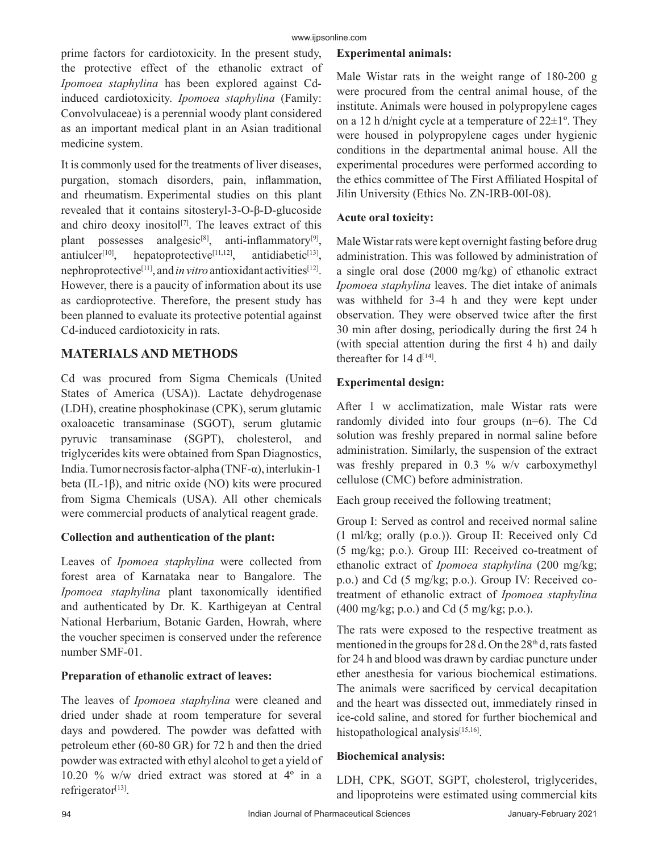prime factors for cardiotoxicity. In the present study, the protective effect of the ethanolic extract of *Ipomoea staphylina* has been explored against Cdinduced cardiotoxicity. *Ipomoea staphylina* (Family: Convolvulaceae) is a perennial woody plant considered as an important medical plant in an Asian traditional medicine system.

It is commonly used for the treatments of liver diseases, purgation, stomach disorders, pain, inflammation, and rheumatism. Experimental studies on this plant revealed that it contains sitosteryl-3-O-β-D-glucoside and chiro deoxy inositol<sup>[7]</sup>. The leaves extract of this plant possesses analgesic<sup>[8]</sup>, anti-inflammatory<sup>[9]</sup>, antiulcer<sup>[10]</sup>, hepatoprotective<sup>[11,12]</sup>, antidiabetic<sup>[13]</sup>, nephroprotective[11], and *in vitro* antioxidant activities[12]. However, there is a paucity of information about its use as cardioprotective. Therefore, the present study has been planned to evaluate its protective potential against Cd-induced cardiotoxicity in rats.

# **MATERIALS AND METHODS**

Cd was procured from Sigma Chemicals (United States of America (USA)). Lactate dehydrogenase (LDH), creatine phosphokinase (CPK), serum glutamic oxaloacetic transaminase (SGOT), serum glutamic pyruvic transaminase (SGPT), cholesterol, and triglycerides kits were obtained from Span Diagnostics, India. Tumor necrosis factor-alpha (TNF-α), interlukin-1 beta (IL-1β), and nitric oxide (NO) kits were procured from Sigma Chemicals (USA). All other chemicals were commercial products of analytical reagent grade.

# **Collection and authentication of the plant:**

Leaves of *Ipomoea staphylina* were collected from forest area of Karnataka near to Bangalore. The *Ipomoea staphylina* plant taxonomically identified and authenticated by Dr. K. Karthigeyan at Central National Herbarium, Botanic Garden, Howrah, where the voucher specimen is conserved under the reference number SMF-01.

# **Preparation of ethanolic extract of leaves:**

The leaves of *Ipomoea staphylina* were cleaned and dried under shade at room temperature for several days and powdered. The powder was defatted with petroleum ether (60-80 GR) for 72 h and then the dried powder was extracted with ethyl alcohol to get a yield of 10.20 % w/w dried extract was stored at 4º in a refrigerator<sup>[13]</sup>.

# **Experimental animals:**

Male Wistar rats in the weight range of 180-200 g were procured from the central animal house, of the institute. Animals were housed in polypropylene cages on a 12 h d/night cycle at a temperature of  $22\pm1^\circ$ . They were housed in polypropylene cages under hygienic conditions in the departmental animal house. All the experimental procedures were performed according to the ethics committee of The First Affiliated Hospital of Jilin University (Ethics No. ZN-IRB-00I-08).

# **Acute oral toxicity:**

Male Wistar rats were kept overnight fasting before drug administration. This was followed by administration of a single oral dose (2000 mg/kg) of ethanolic extract *Ipomoea staphylina* leaves. The diet intake of animals was withheld for 3-4 h and they were kept under observation. They were observed twice after the first 30 min after dosing, periodically during the first 24 h (with special attention during the first  $4 h$ ) and daily thereafter for 14  $d^{[14]}$ .

# **Experimental design:**

After 1 w acclimatization, male Wistar rats were randomly divided into four groups (n=6). The Cd solution was freshly prepared in normal saline before administration. Similarly, the suspension of the extract was freshly prepared in 0.3 % w/v carboxymethyl cellulose (CMC) before administration.

Each group received the following treatment;

Group I: Served as control and received normal saline (1 ml/kg; orally (p.o.)). Group II: Received only Cd (5 mg/kg; p.o.). Group III: Received co-treatment of ethanolic extract of *Ipomoea staphylina* (200 mg/kg; p.o.) and Cd (5 mg/kg; p.o.). Group IV: Received cotreatment of ethanolic extract of *Ipomoea staphylina* (400 mg/kg; p.o.) and Cd (5 mg/kg; p.o.).

The rats were exposed to the respective treatment as mentioned in the groups for 28 d. On the  $28<sup>th</sup>$  d, rats fasted for 24 h and blood was drawn by cardiac puncture under ether anesthesia for various biochemical estimations. The animals were sacrificed by cervical decapitation and the heart was dissected out, immediately rinsed in ice-cold saline, and stored for further biochemical and histopathological analysis<sup>[15,16]</sup>.

# **Biochemical analysis:**

LDH, CPK, SGOT, SGPT, cholesterol, triglycerides, and lipoproteins were estimated using commercial kits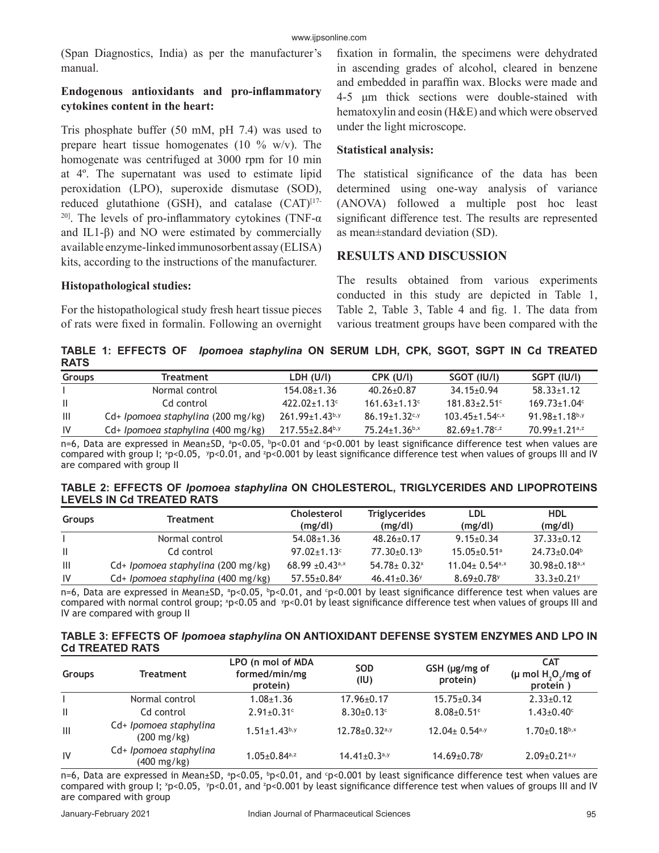(Span Diagnostics, India) as per the manufacturer's manual.

# **Endogenous antioxidants and pro-inflammatory cytokines content in the heart:**

Tris phosphate buffer (50 mM, pH 7.4) was used to prepare heart tissue homogenates (10  $\%$  w/v). The homogenate was centrifuged at 3000 rpm for 10 min at 4º. The supernatant was used to estimate lipid peroxidation (LPO), superoxide dismutase (SOD), reduced glutathione (GSH), and catalase  $(CAT)^{[17]}$ <sup>20]</sup>. The levels of pro-inflammatory cytokines (TNF- $\alpha$ ) and IL1-β) and NO were estimated by commercially available enzyme-linked immunosorbent assay (ELISA) kits, according to the instructions of the manufacturer.

## **Histopathological studies:**

For the histopathological study fresh heart tissue pieces of rats were fixed in formalin. Following an overnight fixation in formalin, the specimens were dehydrated in ascending grades of alcohol, cleared in benzene and embedded in paraffin wax. Blocks were made and 4-5 μm thick sections were double-stained with hematoxylin and eosin (H&E) and which were observed under the light microscope.

# **Statistical analysis:**

The statistical significance of the data has been determined using one-way analysis of variance (ANOVA) followed a multiple post hoc least significant difference test. The results are represented as mean±standard deviation (SD).

# **RESULTS AND DISCUSSION**

The results obtained from various experiments conducted in this study are depicted in Table 1, Table 2, Table 3, Table 4 and fig. 1. The data from various treatment groups have been compared with the

**TABLE 1: EFFECTS OF** *Ipomoea staphylina* **ON SERUM LDH, CPK, SGOT, SGPT IN Cd TREATED RATS**

| <b>Groups</b> | Treatment                          | LDH (U/l)             | CPK (U/I)            | SGOT (IU/I)                      | SGPT (IU/I)                     |
|---------------|------------------------------------|-----------------------|----------------------|----------------------------------|---------------------------------|
|               | Normal control                     | $154.08 + 1.36$       | $40.26 + 0.87$       | $34.15 + 0.94$                   | 58.33+1.12                      |
| -II.          | Cd control                         | $422.02+1.13c$        | $161.63 + 1.13$      | $181.83 + 2.51$ <sup>c</sup>     | $169.73 + 1.04c$                |
| - III         | Cd+ Ipomoea staphylina (200 mg/kg) | $261.99 \pm 1.43$ b,y | $86.19 + 1.32^{c,y}$ | $103.45 \pm 1.54$ <sup>c,x</sup> | $91.98 \pm 1.18$ b,y            |
| IV            | Cd+ Ipomoea staphylina (400 mg/kg) | $217.55 \pm 2.84$ b,y | $75.24 \pm 1.36$ b,x | $82.69 \pm 1.78$ <sub>c,z</sub>  | $70.99 \pm 1.21$ <sup>a,z</sup> |
|               |                                    |                       |                      |                                  |                                 |

n=6, Data are expressed in Mean±SD, ªp<0.05, <sup>b</sup>p<0.01 and <sup>c</sup>p<0.001 by least significance difference test when values are compared with group I;  $p<0.05$ ,  $p<0.01$ , and  $p<0.001$  by least significance difference test when values of groups III and IV are compared with group II

| TABLE 2: EFFECTS OF Ipomoea staphylina ON CHOLESTEROL, TRIGLYCERIDES AND LIPOPROTEINS |  |
|---------------------------------------------------------------------------------------|--|
| <b>LEVELS IN Cd TREATED RATS</b>                                                      |  |

| <b>Groups</b>  | <b>Treatment</b>                   | <b>Cholesterol</b><br>(mg/dl) | <b>Triglycerides</b><br>(mg/dl) | LDL<br>(mg/dl)                | <b>HDL</b><br>(mg/dl)           |
|----------------|------------------------------------|-------------------------------|---------------------------------|-------------------------------|---------------------------------|
|                | Normal control                     | $54.08 \pm 1.36$              | $48.26 \pm 0.17$                | $9.15 \pm 0.34$               | $37.33 \pm 0.12$                |
| $\mathbf{H}$   | Cd control                         | $97.02 \pm 1.13$ <sup>c</sup> | $77.30\pm0.13^b$                | $15.05 \pm 0.51$ <sup>a</sup> | $24.73 \pm 0.04$ <sup>b</sup>   |
| $\mathbf{III}$ | Cd+ Ipomoea staphylina (200 mg/kg) | $68.99 \pm 0.43^{\text{a,x}}$ | $54.78 \pm 0.32$                | 11.04 ± $0.54a$ <sup>x</sup>  | $30.98 \pm 0.18$ <sub>a,x</sub> |
| <b>IV</b>      | Cd+ Ipomoea staphylina (400 mg/kg) | $57.55 \pm 0.84$              | $46.41 \pm 0.36$                | $8.69 \pm 0.78$               | $33.3 \pm 0.21$ <sup>y</sup>    |

n=6, Data are expressed in Mean±SD, ªp<0.05, ʰp<0.01, and ˤp<0.001 by least significance difference test when values are compared with normal control group; <sup>x</sup>p<0.05 and <sup>y</sup>p<0.01 by least significance difference test when values of groups III and IV are compared with group II

#### **TABLE 3: EFFECTS OF** *Ipomoea staphylina* **ON ANTIOXIDANT DEFENSE SYSTEM ENZYMES AND LPO IN Cd TREATED RATS**

| <b>Groups</b>  | <b>Treatment</b>                                | LPO (n mol of MDA<br>formed/min/mg<br>protein) | <b>SOD</b><br>(IU)              | $GSH$ (µg/mg of<br>protein)     | <b>CAT</b><br>(µ mol $H$ , $O$ , /mg of<br>protein) |
|----------------|-------------------------------------------------|------------------------------------------------|---------------------------------|---------------------------------|-----------------------------------------------------|
|                | Normal control                                  | $1.08 \pm 1.36$                                | $17.96 \pm 0.17$                | $15.75 \pm 0.34$                | $2.33 \pm 0.12$                                     |
| $\mathbf{I}$   | Cd control                                      | $2.91 \pm 0.31$ <sup>c</sup>                   | $8.30\pm0.13$ <sup>c</sup>      | $8.08 \pm 0.51$ <sup>c</sup>    | $1.43 \pm 0.40$ <sup>c</sup>                        |
| $\mathbf{III}$ | Cd+ Ipomoea staphylina<br>$(200 \text{ mg/kg})$ | $1.51 \pm 1.43$ b,y                            | $12.78 \pm 0.32$ <sup>a,y</sup> | $12.04 \pm 0.54$ <sup>a,y</sup> | $1.70 \pm 0.18$ b,x                                 |
| IV             | Cd+ Ipomoea staphylina<br>(400 mg/kg)           | $1.05 \pm 0.84$ <sub>a,z</sub>                 | $14.41 \pm 0.3$ <sup>a,y</sup>  | $14.69 \pm 0.78$                | $2.09 \pm 0.21$ <sup>a,y</sup>                      |

n=6, Data are expressed in Mean±SD, ªp<0.05, ʰp<0.01, and ºp<0.001 by least significance difference test when values are compared with group I;  $p<0.05$ ,  $p<0.01$ , and  $p<0.001$  by least significance difference test when values of groups III and IV are compared with group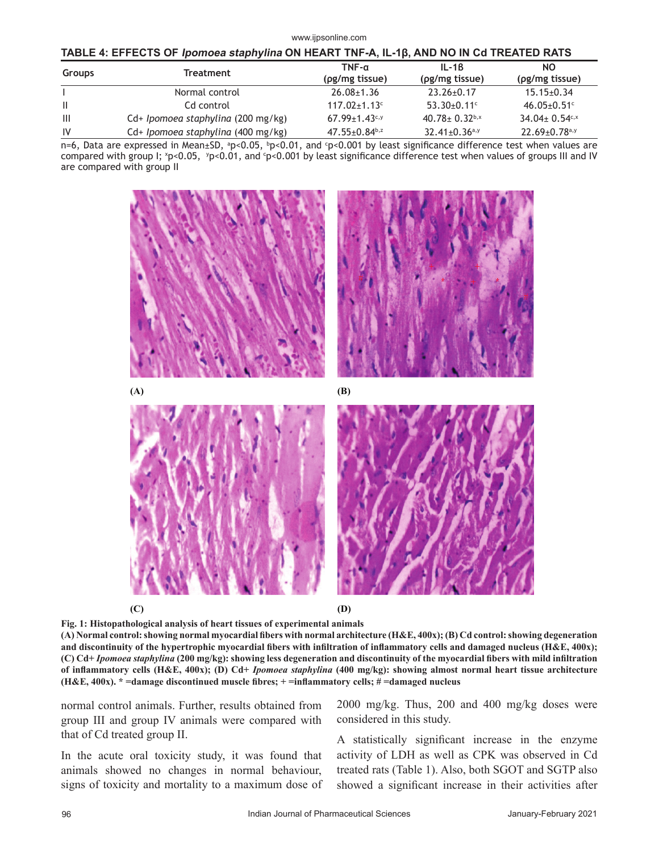#### www.ijpsonline.com

| TABLE 4: EFFECTS OF <i>Ipomoea staphylina</i> ON HEART TNF-A, IL-1β, AND NO IN Cd TREATED RATS |  |  |  |
|------------------------------------------------------------------------------------------------|--|--|--|
|                                                                                                |  |  |  |

| <b>Groups</b> | Treatment                          | $TNF-a$<br>$(\rho g/mg$ tissue) | $IL-1B$<br>$(\rho g/mg$ tissue) | <b>NO</b><br>$(\rho g/mg$ tissue) |
|---------------|------------------------------------|---------------------------------|---------------------------------|-----------------------------------|
|               | Normal control                     | $26.08 \pm 1.36$                | $23.26 \pm 0.17$                | $15.15 \pm 0.34$                  |
| $\mathbf{II}$ | Cd control                         | $117.02 \pm 1.13$ c             | $53.30 + 0.11$ °                | $46.05 \pm 0.51$ <sup>c</sup>     |
| Ш             | Cd+ Ipomoea staphylina (200 mg/kg) | $67.99 \pm 1.43$ c,y            | $40.78 \pm 0.32$ b,x            | $34.04 \pm 0.54$ <sup>c,x</sup>   |
| IV            | Cd+ Ipomoea staphylina (400 mg/kg) | $47.55 \pm 0.84$ <sup>b,z</sup> | $32.41 \pm 0.36$ <sup>a,y</sup> | $22.69 \pm 0.78$ <sup>a,y</sup>   |

n=6, Data are expressed in Mean±SD, ªp<0.05, ʰp<0.01, and ºp<0.001 by least significance difference test when values are compared with group I; \*p<0.05, \*p<0.01, and <sup>c</sup>p<0.001 by least significance difference test when values of groups III and IV are compared with group II



**Fig. 1: Histopathological analysis of heart tissues of experimental animals**  (A) Normal control: showing normal myocardial fibers with normal architecture (H&E, 400x); (B) Cd control: showing degeneration and discontinuity of the hypertrophic myocardial fibers with infiltration of inflammatory cells and damaged nucleus (H&E, 400x); **(C)** Cd+ *Ipomoea staphylina* (200 mg/kg): showing less degeneration and discontinuity of the myocardial fibers with mild infiltration **of infl ammatory cells (H&E, 400x); (D) Cd+** *Ipomoea staphylina* **(400 mg/kg): showing almost normal heart tissue architecture**  (H&E,  $400x$ ).  $* =$ damage discontinued muscle fibres;  $+ =$ inflammatory cells;  $\# =$ damaged nucleus

normal control animals. Further, results obtained from group III and group IV animals were compared with that of Cd treated group II.

In the acute oral toxicity study, it was found that animals showed no changes in normal behaviour, signs of toxicity and mortality to a maximum dose of 2000 mg/kg. Thus, 200 and 400 mg/kg doses were considered in this study.

A statistically significant increase in the enzyme activity of LDH as well as CPK was observed in Cd treated rats (Table 1). Also, both SGOT and SGTP also showed a significant increase in their activities after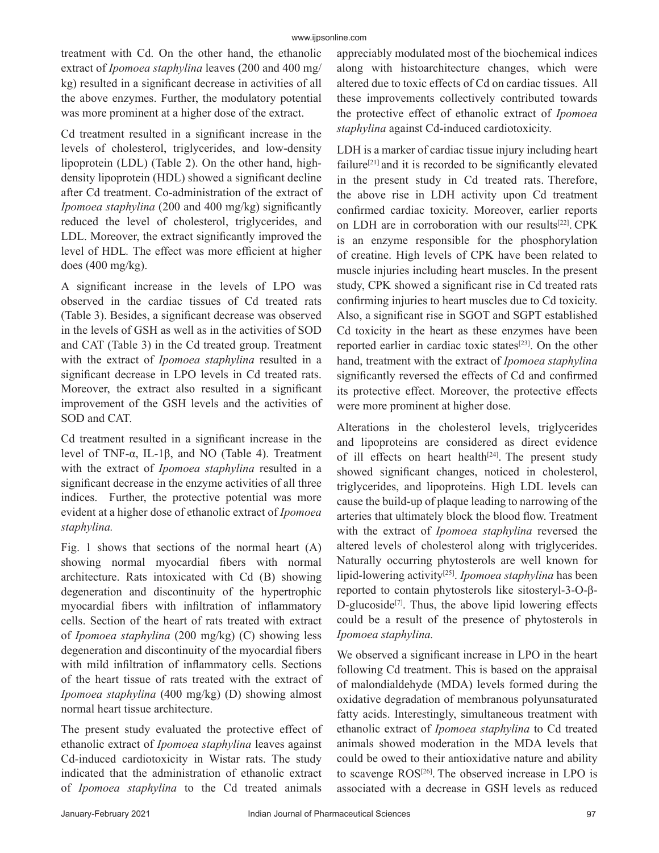treatment with Cd. On the other hand, the ethanolic extract of *Ipomoea staphylina* leaves (200 and 400 mg/ kg) resulted in a significant decrease in activities of all the above enzymes. Further, the modulatory potential was more prominent at a higher dose of the extract.

Cd treatment resulted in a significant increase in the levels of cholesterol, triglycerides, and low-density lipoprotein (LDL) (Table 2). On the other hand, highdensity lipoprotein (HDL) showed a significant decline after Cd treatment. Co-administration of the extract of *Ipomoea staphylina* (200 and 400 mg/kg) significantly reduced the level of cholesterol, triglycerides, and LDL. Moreover, the extract significantly improved the level of HDL. The effect was more efficient at higher does (400 mg/kg).

A significant increase in the levels of LPO was observed in the cardiac tissues of Cd treated rats (Table 3). Besides, a significant decrease was observed in the levels of GSH as well as in the activities of SOD and CAT (Table 3) in the Cd treated group. Treatment with the extract of *Ipomoea staphylina* resulted in a significant decrease in LPO levels in Cd treated rats. Moreover, the extract also resulted in a significant improvement of the GSH levels and the activities of SOD and CAT.

Cd treatment resulted in a significant increase in the level of TNF-α, IL-1β, and NO (Table 4). Treatment with the extract of *Ipomoea staphylina* resulted in a significant decrease in the enzyme activities of all three indices. Further, the protective potential was more evident at a higher dose of ethanolic extract of *Ipomoea staphylina.*

Fig. 1 shows that sections of the normal heart  $(A)$ showing normal myocardial fibers with normal architecture. Rats intoxicated with Cd (B) showing degeneration and discontinuity of the hypertrophic myocardial fibers with infiltration of inflammatory cells. Section of the heart of rats treated with extract of *Ipomoea staphylina* (200 mg/kg) (C) showing less degeneration and discontinuity of the myocardial fibers with mild infiltration of inflammatory cells. Sections of the heart tissue of rats treated with the extract of *Ipomoea staphylina* (400 mg/kg) (D) showing almost normal heart tissue architecture.

The present study evaluated the protective effect of ethanolic extract of *Ipomoea staphylina* leaves against Cd-induced cardiotoxicity in Wistar rats. The study indicated that the administration of ethanolic extract of *Ipomoea staphylina* to the Cd treated animals appreciably modulated most of the biochemical indices along with histoarchitecture changes, which were altered due to toxic effects of Cd on cardiac tissues. All these improvements collectively contributed towards the protective effect of ethanolic extract of *Ipomoea staphylina* against Cd-induced cardiotoxicity.

LDH is a marker of cardiac tissue injury including heart failure<sup>[21]</sup> and it is recorded to be significantly elevated in the present study in Cd treated rats. Therefore, the above rise in LDH activity upon Cd treatment confirmed cardiac toxicity. Moreover, earlier reports on LDH are in corroboration with our results<sup>[22]</sup>. CPK is an enzyme responsible for the phosphorylation of creatine. High levels of CPK have been related to muscle injuries including heart muscles. In the present study, CPK showed a significant rise in Cd treated rats confirming injuries to heart muscles due to Cd toxicity. Also, a significant rise in SGOT and SGPT established Cd toxicity in the heart as these enzymes have been reported earlier in cardiac toxic states[23]. On the other hand, treatment with the extract of *Ipomoea staphylina* significantly reversed the effects of Cd and confirmed its protective effect. Moreover, the protective effects were more prominent at higher dose.

Alterations in the cholesterol levels, triglycerides and lipoproteins are considered as direct evidence of ill effects on heart health $[24]$ . The present study showed significant changes, noticed in cholesterol, triglycerides, and lipoproteins. High LDL levels can cause the build-up of plaque leading to narrowing of the arteries that ultimately block the blood flow. Treatment with the extract of *Ipomoea staphylina* reversed the altered levels of cholesterol along with triglycerides. Naturally occurring phytosterols are well known for lipid-lowering activity[25]. *Ipomoea staphylina* has been reported to contain phytosterols like sitosteryl-3-O-β-D-glucoside $[7]$ . Thus, the above lipid lowering effects could be a result of the presence of phytosterols in *Ipomoea staphylina.*

We observed a significant increase in LPO in the heart following Cd treatment. This is based on the appraisal of malondialdehyde (MDA) levels formed during the oxidative degradation of membranous polyunsaturated fatty acids. Interestingly, simultaneous treatment with ethanolic extract of *Ipomoea staphylina* to Cd treated animals showed moderation in the MDA levels that could be owed to their antioxidative nature and ability to scavenge ROS<sup>[26]</sup>. The observed increase in LPO is associated with a decrease in GSH levels as reduced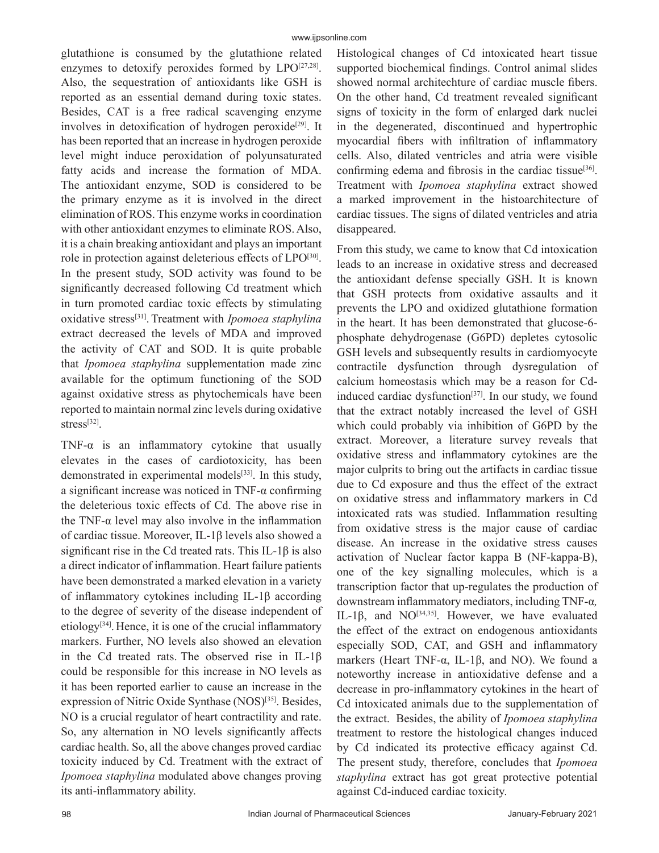glutathione is consumed by the glutathione related enzymes to detoxify peroxides formed by  $LPO^{[27,28]}$ . Also, the sequestration of antioxidants like GSH is reported as an essential demand during toxic states. Besides, CAT is a free radical scavenging enzyme involves in detoxification of hydrogen peroxide<sup>[29]</sup>. It has been reported that an increase in hydrogen peroxide level might induce peroxidation of polyunsaturated fatty acids and increase the formation of MDA. The antioxidant enzyme, SOD is considered to be the primary enzyme as it is involved in the direct elimination of ROS. This enzyme works in coordination with other antioxidant enzymes to eliminate ROS. Also, it is a chain breaking antioxidant and plays an important role in protection against deleterious effects of LPO<sup>[30]</sup>. In the present study, SOD activity was found to be significantly decreased following Cd treatment which in turn promoted cardiac toxic effects by stimulating oxidative stress[31]. Treatment with *Ipomoea staphylina* extract decreased the levels of MDA and improved the activity of CAT and SOD. It is quite probable that *Ipomoea staphylina* supplementation made zinc available for the optimum functioning of the SOD against oxidative stress as phytochemicals have been reported to maintain normal zinc levels during oxidative stress<sup>[32]</sup>.

TNF- $\alpha$  is an inflammatory cytokine that usually elevates in the cases of cardiotoxicity, has been demonstrated in experimental models<sup>[33]</sup>. In this study, a significant increase was noticed in TNF- $\alpha$  confirming the deleterious toxic effects of Cd. The above rise in the TNF- $\alpha$  level may also involve in the inflammation of cardiac tissue. Moreover, IL-1β levels also showed a significant rise in the Cd treated rats. This IL-1 $\beta$  is also a direct indicator of inflammation. Heart failure patients have been demonstrated a marked elevation in a variety of inflammatory cytokines including IL-1 $\beta$  according to the degree of severity of the disease independent of etiology<sup>[34]</sup>. Hence, it is one of the crucial inflammatory markers. Further, NO levels also showed an elevation in the Cd treated rats. The observed rise in IL-1β could be responsible for this increase in NO levels as it has been reported earlier to cause an increase in the expression of Nitric Oxide Synthase (NOS)<sup>[35]</sup>. Besides, NO is a crucial regulator of heart contractility and rate. So, any alternation in NO levels significantly affects cardiac health. So, all the above changes proved cardiac toxicity induced by Cd. Treatment with the extract of *Ipomoea staphylina* modulated above changes proving its anti-inflammatory ability.

Histological changes of Cd intoxicated heart tissue supported biochemical findings. Control animal slides showed normal architechture of cardiac muscle fibers. On the other hand, Cd treatment revealed significant signs of toxicity in the form of enlarged dark nuclei in the degenerated, discontinued and hypertrophic myocardial fibers with infiltration of inflammatory cells. Also, dilated ventricles and atria were visible confirming edema and fibrosis in the cardiac tissue<sup>[36]</sup>. Treatment with *Ipomoea staphylina* extract showed a marked improvement in the histoarchitecture of cardiac tissues. The signs of dilated ventricles and atria disappeared.

From this study, we came to know that Cd intoxication leads to an increase in oxidative stress and decreased the antioxidant defense specially GSH. It is known that GSH protects from oxidative assaults and it prevents the LPO and oxidized glutathione formation in the heart. It has been demonstrated that glucose-6 phosphate dehydrogenase (G6PD) depletes cytosolic GSH levels and subsequently results in cardiomyocyte contractile dysfunction through dysregulation of calcium homeostasis which may be a reason for Cdinduced cardiac dysfunction<sup>[37]</sup>. In our study, we found that the extract notably increased the level of GSH which could probably via inhibition of G6PD by the extract. Moreover, a literature survey reveals that oxidative stress and inflammatory cytokines are the major culprits to bring out the artifacts in cardiac tissue due to Cd exposure and thus the effect of the extract on oxidative stress and inflammatory markers in Cd intoxicated rats was studied. Inflammation resulting from oxidative stress is the major cause of cardiac disease. An increase in the oxidative stress causes activation of Nuclear factor kappa B (NF-kappa-B), one of the key signalling molecules, which is a transcription factor that up-regulates the production of downstream inflammatory mediators, including TNF-α, IL-1 $\beta$ , and NO<sup>[34,35]</sup>. However, we have evaluated the effect of the extract on endogenous antioxidants especially SOD, CAT, and GSH and inflammatory markers (Heart TNF- $\alpha$ , IL-1β, and NO). We found a noteworthy increase in antioxidative defense and a decrease in pro-inflammatory cytokines in the heart of Cd intoxicated animals due to the supplementation of the extract. Besides, the ability of *Ipomoea staphylina* treatment to restore the histological changes induced by Cd indicated its protective efficacy against Cd. The present study, therefore, concludes that *Ipomoea staphylina* extract has got great protective potential against Cd-induced cardiac toxicity.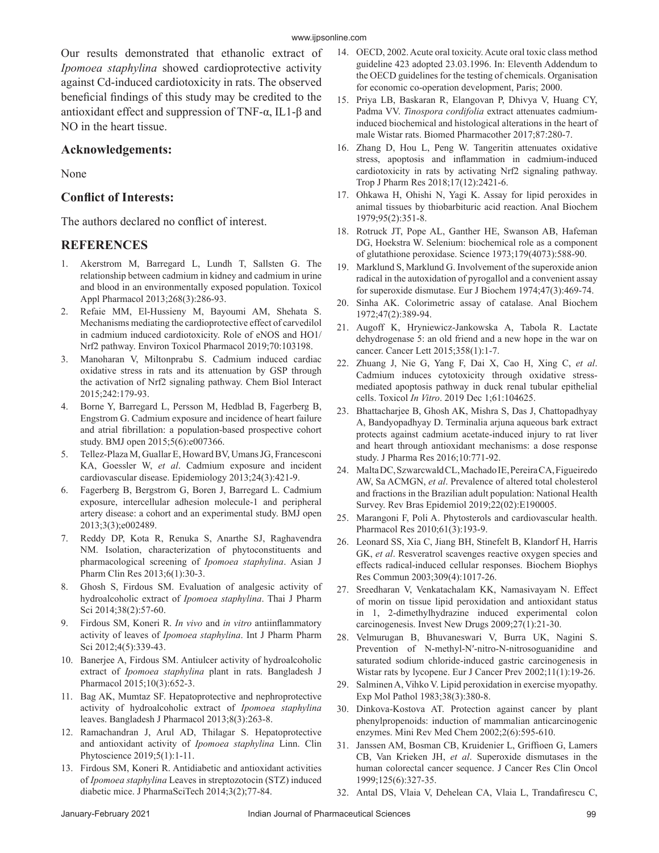Our results demonstrated that ethanolic extract of *Ipomoea staphylina* showed cardioprotective activity against Cd-induced cardiotoxicity in rats. The observed beneficial findings of this study may be credited to the antioxidant effect and suppression of TNF-α, IL1-β and NO in the heart tissue.

#### **Acknowledgements:**

None

## **Conflict of Interests:**

The authors declared no conflict of interest.

## **REFERENCES**

- 1. Akerstrom M, Barregard L, Lundh T, Sallsten G. The relationship between cadmium in kidney and cadmium in urine and blood in an environmentally exposed population. Toxicol Appl Pharmacol 2013;268(3):286-93.
- 2. Refaie MM, El-Hussieny M, Bayoumi AM, Shehata S. Mechanisms mediating the cardioprotective effect of carvedilol in cadmium induced cardiotoxicity. Role of eNOS and HO1/ Nrf2 pathway. Environ Toxicol Pharmacol 2019;70:103198.
- 3. Manoharan V, Miltonprabu S. Cadmium induced cardiac oxidative stress in rats and its attenuation by GSP through the activation of Nrf2 signaling pathway. Chem Biol Interact 2015;242:179-93.
- 4. Borne Y, Barregard L, Persson M, Hedblad B, Fagerberg B, Engstrom G. Cadmium exposure and incidence of heart failure and atrial fibrillation: a population-based prospective cohort study. BMJ open 2015;5(6):e007366.
- 5. Tellez-Plaza M, Guallar E, Howard BV, Umans JG, Francesconi KA, Goessler W, *et al*. Cadmium exposure and incident cardiovascular disease. Epidemiology 2013;24(3):421-9.
- 6. Fagerberg B, Bergstrom G, Boren J, Barregard L. Cadmium exposure, intercellular adhesion molecule-1 and peripheral artery disease: a cohort and an experimental study. BMJ open 2013;3(3);e002489.
- 7. Reddy DP, Kota R, Renuka S, Anarthe SJ, Raghavendra NM. Isolation, characterization of phytoconstituents and pharmacological screening of *Ipomoea staphylina*. Asian J Pharm Clin Res 2013;6(1):30-3.
- 8. Ghosh S, Firdous SM. Evaluation of analgesic activity of hydroalcoholic extract of *Ipomoea staphylina*. Thai J Pharm Sci 2014;38(2):57-60.
- 9. Firdous SM, Koneri R. *In vivo* and *in vitro* antiinflammatory activity of leaves of *Ipomoea staphylina*. Int J Pharm Pharm Sci 2012;4(5):339-43.
- 10. Banerjee A, Firdous SM. Antiulcer activity of hydroalcoholic extract of *Ipomoea staphylina* plant in rats. Bangladesh J Pharmacol 2015;10(3):652-3.
- 11. Bag AK, Mumtaz SF. Hepatoprotective and nephroprotective activity of hydroalcoholic extract of *Ipomoea staphylina* leaves. Bangladesh J Pharmacol 2013;8(3):263-8.
- 12. Ramachandran J, Arul AD, Thilagar S. Hepatoprotective and antioxidant activity of *Ipomoea staphylina* Linn. Clin Phytoscience 2019;5(1):1-11.
- 13. Firdous SM, Koneri R. Antidiabetic and antioxidant activities of *Ipomoea staphylina* Leaves in streptozotocin (STZ) induced diabetic mice. J PharmaSciTech 2014;3(2);77-84.
- 14. OECD, 2002. Acute oral toxicity. Acute oral toxic class method guideline 423 adopted 23.03.1996. In: Eleventh Addendum to the OECD guidelines for the testing of chemicals. Organisation for economic co-operation development, Paris; 2000.
- 15. Priya LB, Baskaran R, Elangovan P, Dhivya V, Huang CY, Padma VV. *Tinospora cordifolia* extract attenuates cadmiuminduced biochemical and histological alterations in the heart of male Wistar rats. Biomed Pharmacother 2017;87:280-7.
- 16. Zhang D, Hou L, Peng W. Tangeritin attenuates oxidative stress, apoptosis and inflammation in cadmium-induced cardiotoxicity in rats by activating Nrf2 signaling pathway. Trop J Pharm Res 2018;17(12):2421-6.
- 17. Ohkawa H, Ohishi N, Yagi K. Assay for lipid peroxides in animal tissues by thiobarbituric acid reaction. Anal Biochem 1979;95(2):351-8.
- 18. Rotruck JT, Pope AL, Ganther HE, Swanson AB, Hafeman DG, Hoekstra W. Selenium: biochemical role as a component of glutathione peroxidase. Science 1973;179(4073):588-90.
- 19. Marklund S, Marklund G. Involvement of the superoxide anion radical in the autoxidation of pyrogallol and a convenient assay for superoxide dismutase. Eur J Biochem 1974;47(3):469-74.
- 20. Sinha AK. Colorimetric assay of catalase. Anal Biochem 1972;47(2):389-94.
- 21. Augoff K, Hryniewicz-Jankowska A, Tabola R. Lactate dehydrogenase 5: an old friend and a new hope in the war on cancer. Cancer Lett 2015;358(1):1-7.
- 22. Zhuang J, Nie G, Yang F, Dai X, Cao H, Xing C, *et al*. Cadmium induces cytotoxicity through oxidative stressmediated apoptosis pathway in duck renal tubular epithelial cells. Toxicol *In Vitro*. 2019 Dec 1;61:104625.
- 23. Bhattacharjee B, Ghosh AK, Mishra S, Das J, Chattopadhyay A, Bandyopadhyay D. Terminalia arjuna aqueous bark extract protects against cadmium acetate-induced injury to rat liver and heart through antioxidant mechanisms: a dose response study. J Pharma Res 2016;10:771-92.
- 24. Malta DC, Szwarcwald CL, Machado IE, Pereira CA, Figueiredo AW, Sa ACMGN, *et al*. Prevalence of altered total cholesterol and fractions in the Brazilian adult population: National Health Survey. Rev Bras Epidemiol 2019;22(02):E190005.
- 25. Marangoni F, Poli A. Phytosterols and cardiovascular health. Pharmacol Res 2010;61(3):193-9.
- 26. Leonard SS, Xia C, Jiang BH, Stinefelt B, Klandorf H, Harris GK, *et al*. Resveratrol scavenges reactive oxygen species and effects radical-induced cellular responses. Biochem Biophys Res Commun 2003;309(4):1017-26.
- 27. Sreedharan V, Venkatachalam KK, Namasivayam N. Effect of morin on tissue lipid peroxidation and antioxidant status in 1, 2-dimethylhydrazine induced experimental colon carcinogenesis. Invest New Drugs 2009;27(1):21-30.
- 28. Velmurugan B, Bhuvaneswari V, Burra UK, Nagini S. Prevention of N-methyl-N′-nitro-N-nitrosoguanidine and saturated sodium chloride-induced gastric carcinogenesis in Wistar rats by lycopene. Eur J Cancer Prev 2002;11(1):19-26.
- 29. Salminen A, Vihko V. Lipid peroxidation in exercise myopathy. Exp Mol Pathol 1983;38(3):380-8.
- 30. Dinkova-Kostova AT. Protection against cancer by plant phenylpropenoids: induction of mammalian anticarcinogenic enzymes. Mini Rev Med Chem 2002;2(6):595-610.
- 31. Janssen AM, Bosman CB, Kruidenier L, Griffioen G, Lamers CB, Van Krieken JH, *et al*. Superoxide dismutases in the human colorectal cancer sequence. J Cancer Res Clin Oncol 1999;125(6):327-35.
- 32. Antal DS, Vlaia V, Dehelean CA, Vlaia L, Trandafirescu C,